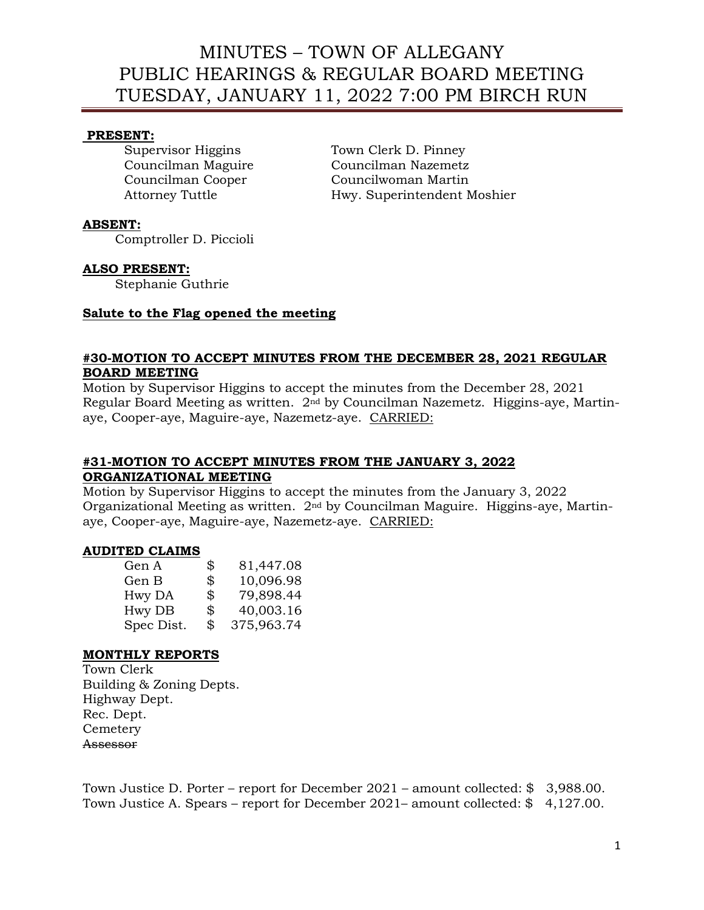### **PRESENT:**

Supervisor Higgins Town Clerk D. Pinney Councilman Maguire Councilman Nazemetz Councilman Cooper Councilwoman Martin Attorney Tuttle **Hwy.** Superintendent Moshier

### **ABSENT:**

Comptroller D. Piccioli

### **ALSO PRESENT:**

Stephanie Guthrie

### **Salute to the Flag opened the meeting**

### **#30-MOTION TO ACCEPT MINUTES FROM THE DECEMBER 28, 2021 REGULAR BOARD MEETING**

Motion by Supervisor Higgins to accept the minutes from the December 28, 2021 Regular Board Meeting as written. 2nd by Councilman Nazemetz. Higgins-aye, Martinaye, Cooper-aye, Maguire-aye, Nazemetz-aye. CARRIED:

### **#31-MOTION TO ACCEPT MINUTES FROM THE JANUARY 3, 2022 ORGANIZATIONAL MEETING**

Motion by Supervisor Higgins to accept the minutes from the January 3, 2022 Organizational Meeting as written. 2nd by Councilman Maguire. Higgins-aye, Martinaye, Cooper-aye, Maguire-aye, Nazemetz-aye. CARRIED:

### **AUDITED CLAIMS**

| \$<br>81,447.08  |
|------------------|
| \$<br>10,096.98  |
| \$<br>79,898.44  |
| \$<br>40,003.16  |
| \$<br>375,963.74 |
|                  |

### **MONTHLY REPORTS**

Town Clerk Building & Zoning Depts. Highway Dept. Rec. Dept. **Cemetery** Assessor

Town Justice D. Porter – report for December 2021 – amount collected: \$ 3,988.00. Town Justice A. Spears – report for December 2021– amount collected: \$ 4,127.00.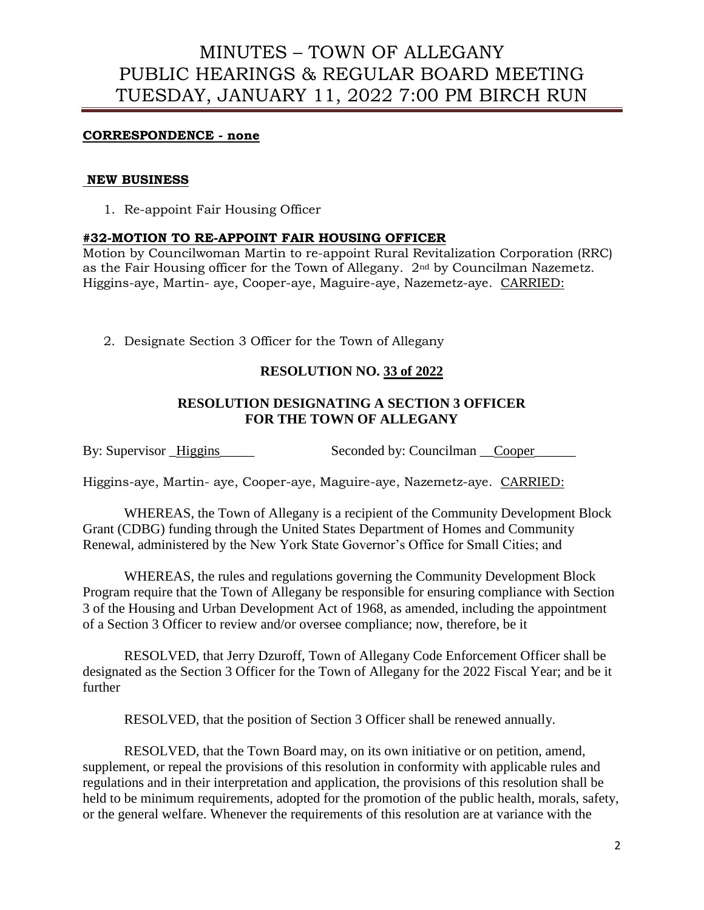## **CORRESPONDENCE - none**

### **NEW BUSINESS**

1. Re-appoint Fair Housing Officer

### **#32-MOTION TO RE-APPOINT FAIR HOUSING OFFICER**

Motion by Councilwoman Martin to re-appoint Rural Revitalization Corporation (RRC) as the Fair Housing officer for the Town of Allegany. 2nd by Councilman Nazemetz. Higgins-aye, Martin- aye, Cooper-aye, Maguire-aye, Nazemetz-aye. CARRIED:

2. Designate Section 3 Officer for the Town of Allegany

## **RESOLUTION NO. 33 of 2022**

## **RESOLUTION DESIGNATING A SECTION 3 OFFICER FOR THE TOWN OF ALLEGANY**

By: Supervisor Higgins Seconded by: Councilman Cooper

Higgins-aye, Martin- aye, Cooper-aye, Maguire-aye, Nazemetz-aye. CARRIED:

WHEREAS, the Town of Allegany is a recipient of the Community Development Block Grant (CDBG) funding through the United States Department of Homes and Community Renewal, administered by the New York State Governor's Office for Small Cities; and

WHEREAS, the rules and regulations governing the Community Development Block Program require that the Town of Allegany be responsible for ensuring compliance with Section 3 of the Housing and Urban Development Act of 1968, as amended, including the appointment of a Section 3 Officer to review and/or oversee compliance; now, therefore, be it

RESOLVED, that Jerry Dzuroff, Town of Allegany Code Enforcement Officer shall be designated as the Section 3 Officer for the Town of Allegany for the 2022 Fiscal Year; and be it further

RESOLVED, that the position of Section 3 Officer shall be renewed annually.

RESOLVED, that the Town Board may, on its own initiative or on petition, amend, supplement, or repeal the provisions of this resolution in conformity with applicable rules and regulations and in their interpretation and application, the provisions of this resolution shall be held to be minimum requirements, adopted for the promotion of the public health, morals, safety, or the general welfare. Whenever the requirements of this resolution are at variance with the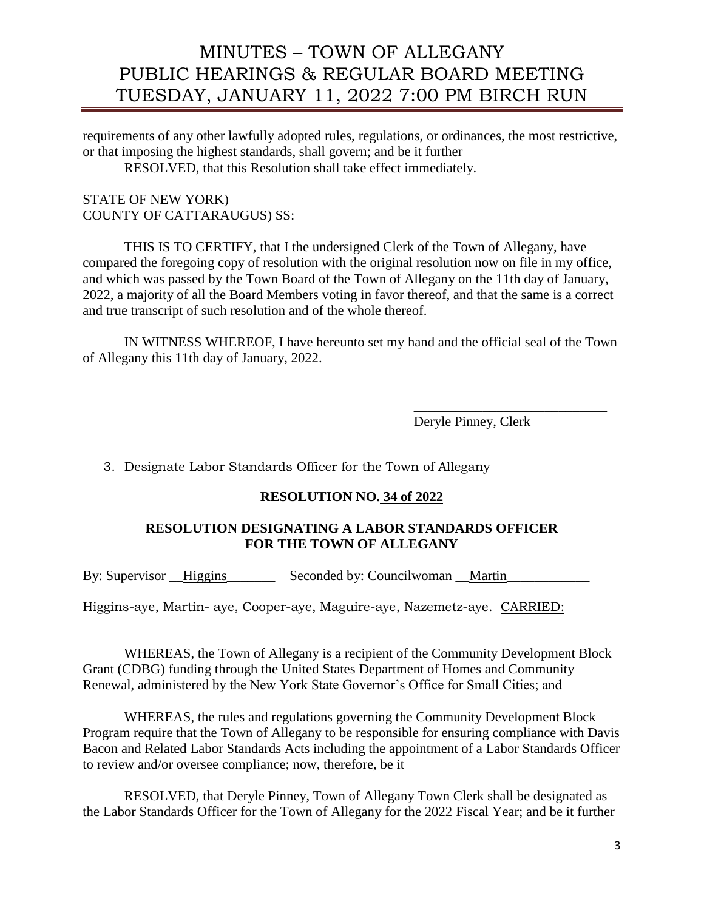requirements of any other lawfully adopted rules, regulations, or ordinances, the most restrictive, or that imposing the highest standards, shall govern; and be it further RESOLVED, that this Resolution shall take effect immediately.

STATE OF NEW YORK) COUNTY OF CATTARAUGUS) SS:

THIS IS TO CERTIFY, that I the undersigned Clerk of the Town of Allegany, have compared the foregoing copy of resolution with the original resolution now on file in my office, and which was passed by the Town Board of the Town of Allegany on the 11th day of January, 2022, a majority of all the Board Members voting in favor thereof, and that the same is a correct and true transcript of such resolution and of the whole thereof.

IN WITNESS WHEREOF, I have hereunto set my hand and the official seal of the Town of Allegany this 11th day of January, 2022.

> \_\_\_\_\_\_\_\_\_\_\_\_\_\_\_\_\_\_\_\_\_\_\_\_\_\_\_\_ Deryle Pinney, Clerk

3. Designate Labor Standards Officer for the Town of Allegany

## **RESOLUTION NO. 34 of 2022**

## **RESOLUTION DESIGNATING A LABOR STANDARDS OFFICER FOR THE TOWN OF ALLEGANY**

By: Supervisor Higgins Seconded by: Councilwoman Martin

Higgins-aye, Martin- aye, Cooper-aye, Maguire-aye, Nazemetz-aye. CARRIED:

WHEREAS, the Town of Allegany is a recipient of the Community Development Block Grant (CDBG) funding through the United States Department of Homes and Community Renewal, administered by the New York State Governor's Office for Small Cities; and

WHEREAS, the rules and regulations governing the Community Development Block Program require that the Town of Allegany to be responsible for ensuring compliance with Davis Bacon and Related Labor Standards Acts including the appointment of a Labor Standards Officer to review and/or oversee compliance; now, therefore, be it

RESOLVED, that Deryle Pinney, Town of Allegany Town Clerk shall be designated as the Labor Standards Officer for the Town of Allegany for the 2022 Fiscal Year; and be it further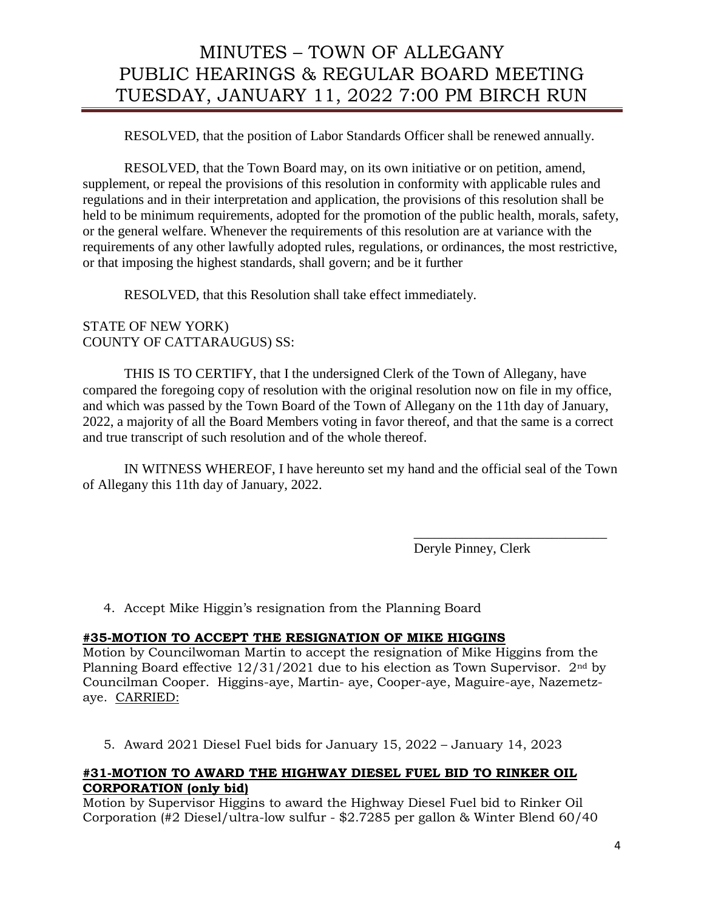RESOLVED, that the position of Labor Standards Officer shall be renewed annually.

RESOLVED, that the Town Board may, on its own initiative or on petition, amend, supplement, or repeal the provisions of this resolution in conformity with applicable rules and regulations and in their interpretation and application, the provisions of this resolution shall be held to be minimum requirements, adopted for the promotion of the public health, morals, safety, or the general welfare. Whenever the requirements of this resolution are at variance with the requirements of any other lawfully adopted rules, regulations, or ordinances, the most restrictive, or that imposing the highest standards, shall govern; and be it further

RESOLVED, that this Resolution shall take effect immediately.

## STATE OF NEW YORK) COUNTY OF CATTARAUGUS) SS:

THIS IS TO CERTIFY, that I the undersigned Clerk of the Town of Allegany, have compared the foregoing copy of resolution with the original resolution now on file in my office, and which was passed by the Town Board of the Town of Allegany on the 11th day of January, 2022, a majority of all the Board Members voting in favor thereof, and that the same is a correct and true transcript of such resolution and of the whole thereof.

IN WITNESS WHEREOF, I have hereunto set my hand and the official seal of the Town of Allegany this 11th day of January, 2022.

Deryle Pinney, Clerk

\_\_\_\_\_\_\_\_\_\_\_\_\_\_\_\_\_\_\_\_\_\_\_\_\_\_\_\_

4. Accept Mike Higgin's resignation from the Planning Board

## **#35-MOTION TO ACCEPT THE RESIGNATION OF MIKE HIGGINS**

Motion by Councilwoman Martin to accept the resignation of Mike Higgins from the Planning Board effective  $12/31/2021$  due to his election as Town Supervisor.  $2<sup>nd</sup>$  by Councilman Cooper. Higgins-aye, Martin- aye, Cooper-aye, Maguire-aye, Nazemetzaye. CARRIED:

5. Award 2021 Diesel Fuel bids for January 15, 2022 – January 14, 2023

## **#31-MOTION TO AWARD THE HIGHWAY DIESEL FUEL BID TO RINKER OIL CORPORATION (only bid)**

Motion by Supervisor Higgins to award the Highway Diesel Fuel bid to Rinker Oil Corporation (#2 Diesel/ultra-low sulfur - \$2.7285 per gallon & Winter Blend 60/40